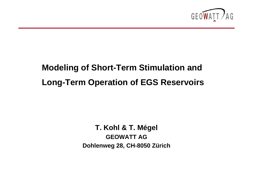

# **Modeling of Short-Term Stimulation and Long-Term Operation of EGS Reservoirs**

**T. Kohl & T. Mégel GEOWATT AGDohlenweg 28, CH-8050 Zürich**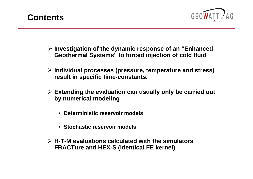



- ¾ **Investigation of the dynamic response of an "Enhanced Geothermal Systems" to forced injection of cold fluid**
- ¾ **Individual processes (pressure, temperature and stress) result in specific time-constants.**
- ¾ **Extending the evaluation can usually only be carried out by numerical modeling**
	- **Deterministic reservoir models**
	- **Stochastic reservoir models**
- ¾ **H-T-M evaluations calculated with the simulators FRACTure and HEX-S (identical FE kernel)**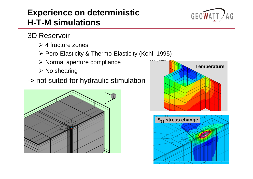## **Experience on deterministic H-T-M simulations**



- 3D Reservoir
	- $\triangleright$  4 fracture zones
	- ¾ Poro-Elasticity & Thermo-Elasticity (Kohl, 1995)
	- $\triangleright$  Normal aperture compliance
	- ¾ No shearing
- -> not suited for hydraulic stimulation





**r3**

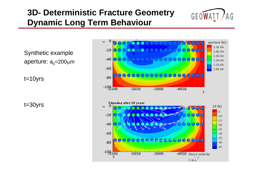## **3D- Deterministic Fracture Geometry Dynamic Long Term Behaviour**



Synthetic example aperture: a<sub>o</sub>=200µm

t=10yrs

t=30yrs

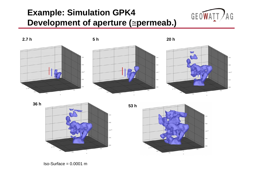## **Example: Simulation GPK4 Development of aperture (** <sup>≅</sup>**permeab.)**







 $Iso-Surface = 0.0001 m$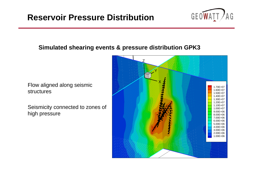

#### **Simulated shearing events & pressure distribution GPK3**

Flow aligned along seismic structures

Seismicity connected to zones of high pressure